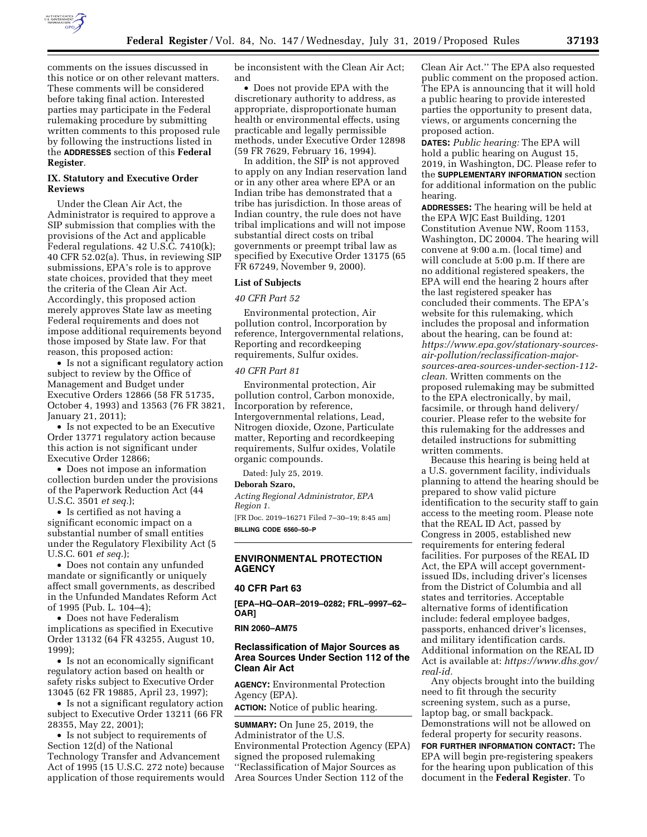

comments on the issues discussed in this notice or on other relevant matters. These comments will be considered before taking final action. Interested parties may participate in the Federal rulemaking procedure by submitting written comments to this proposed rule by following the instructions listed in the **ADDRESSES** section of this **Federal Register**.

## **IX. Statutory and Executive Order Reviews**

Under the Clean Air Act, the Administrator is required to approve a SIP submission that complies with the provisions of the Act and applicable Federal regulations. 42 U.S.C. 7410(k); 40 CFR 52.02(a). Thus, in reviewing SIP submissions, EPA's role is to approve state choices, provided that they meet the criteria of the Clean Air Act. Accordingly, this proposed action merely approves State law as meeting Federal requirements and does not impose additional requirements beyond those imposed by State law. For that reason, this proposed action:

• Is not a significant regulatory action subject to review by the Office of Management and Budget under Executive Orders 12866 (58 FR 51735, October 4, 1993) and 13563 (76 FR 3821, January 21, 2011);

• Is not expected to be an Executive Order 13771 regulatory action because this action is not significant under Executive Order 12866;

• Does not impose an information collection burden under the provisions of the Paperwork Reduction Act (44 U.S.C. 3501 *et seq.*);

• Is certified as not having a significant economic impact on a substantial number of small entities under the Regulatory Flexibility Act (5 U.S.C. 601 *et seq.*);

• Does not contain any unfunded mandate or significantly or uniquely affect small governments, as described in the Unfunded Mandates Reform Act of 1995 (Pub. L. 104–4);

• Does not have Federalism implications as specified in Executive Order 13132 (64 FR 43255, August 10, 1999);

• Is not an economically significant regulatory action based on health or safety risks subject to Executive Order 13045 (62 FR 19885, April 23, 1997);

• Is not a significant regulatory action subject to Executive Order 13211 (66 FR 28355, May 22, 2001);

• Is not subject to requirements of Section 12(d) of the National Technology Transfer and Advancement Act of 1995 (15 U.S.C. 272 note) because application of those requirements would be inconsistent with the Clean Air Act; and

• Does not provide EPA with the discretionary authority to address, as appropriate, disproportionate human health or environmental effects, using practicable and legally permissible methods, under Executive Order 12898 (59 FR 7629, February 16, 1994).

In addition, the SIP is not approved to apply on any Indian reservation land or in any other area where EPA or an Indian tribe has demonstrated that a tribe has jurisdiction. In those areas of Indian country, the rule does not have tribal implications and will not impose substantial direct costs on tribal governments or preempt tribal law as specified by Executive Order 13175 (65 FR 67249, November 9, 2000).

# **List of Subjects**

### *40 CFR Part 52*

Environmental protection, Air pollution control, Incorporation by reference, Intergovernmental relations, Reporting and recordkeeping requirements, Sulfur oxides.

# *40 CFR Part 81*

Environmental protection, Air pollution control, Carbon monoxide, Incorporation by reference, Intergovernmental relations, Lead, Nitrogen dioxide, Ozone, Particulate matter, Reporting and recordkeeping requirements, Sulfur oxides, Volatile organic compounds.

Dated: July 25, 2019.

#### **Deborah Szaro,**

*Acting Regional Administrator, EPA Region 1.* 

[FR Doc. 2019–16271 Filed 7–30–19; 8:45 am] **BILLING CODE 6560–50–P** 

# **ENVIRONMENTAL PROTECTION AGENCY**

#### **40 CFR Part 63**

**[EPA–HQ–OAR–2019–0282; FRL–9997–62– OAR]** 

#### **RIN 2060–AM75**

### **Reclassification of Major Sources as Area Sources Under Section 112 of the Clean Air Act**

**AGENCY:** Environmental Protection Agency (EPA).

**ACTION:** Notice of public hearing.

**SUMMARY:** On June 25, 2019, the Administrator of the U.S. Environmental Protection Agency (EPA) signed the proposed rulemaking ''Reclassification of Major Sources as Area Sources Under Section 112 of the

Clean Air Act.'' The EPA also requested public comment on the proposed action. The EPA is announcing that it will hold a public hearing to provide interested parties the opportunity to present data, views, or arguments concerning the proposed action.

**DATES:** *Public hearing:* The EPA will hold a public hearing on August 15, 2019, in Washington, DC. Please refer to the **SUPPLEMENTARY INFORMATION** section for additional information on the public hearing.

**ADDRESSES:** The hearing will be held at the EPA WJC East Building, 1201 Constitution Avenue NW, Room 1153, Washington, DC 20004. The hearing will convene at 9:00 a.m. (local time) and will conclude at 5:00 p.m. If there are no additional registered speakers, the EPA will end the hearing 2 hours after the last registered speaker has concluded their comments. The EPA's website for this rulemaking, which includes the proposal and information about the hearing, can be found at: *[https://www.epa.gov/stationary-sources](https://www.epa.gov/stationary-sources-air-pollution/reclassification-major-sources-area-sources-under-section-112-clean)[air-pollution/reclassification-major](https://www.epa.gov/stationary-sources-air-pollution/reclassification-major-sources-area-sources-under-section-112-clean)[sources-area-sources-under-section-112](https://www.epa.gov/stationary-sources-air-pollution/reclassification-major-sources-area-sources-under-section-112-clean)  [clean.](https://www.epa.gov/stationary-sources-air-pollution/reclassification-major-sources-area-sources-under-section-112-clean)* Written comments on the proposed rulemaking may be submitted to the EPA electronically, by mail, facsimile, or through hand delivery/ courier. Please refer to the website for this rulemaking for the addresses and detailed instructions for submitting written comments.

Because this hearing is being held at a U.S. government facility, individuals planning to attend the hearing should be prepared to show valid picture identification to the security staff to gain access to the meeting room. Please note that the REAL ID Act, passed by Congress in 2005, established new requirements for entering federal facilities. For purposes of the REAL ID Act, the EPA will accept governmentissued IDs, including driver's licenses from the District of Columbia and all states and territories. Acceptable alternative forms of identification include: federal employee badges, passports, enhanced driver's licenses, and military identification cards. Additional information on the REAL ID Act is available at: *[https://www.dhs.gov/](https://www.dhs.gov/real-id) [real-id.](https://www.dhs.gov/real-id)* 

Any objects brought into the building need to fit through the security screening system, such as a purse, laptop bag, or small backpack. Demonstrations will not be allowed on federal property for security reasons.

**FOR FURTHER INFORMATION CONTACT:** The EPA will begin pre-registering speakers for the hearing upon publication of this document in the **Federal Register**. To